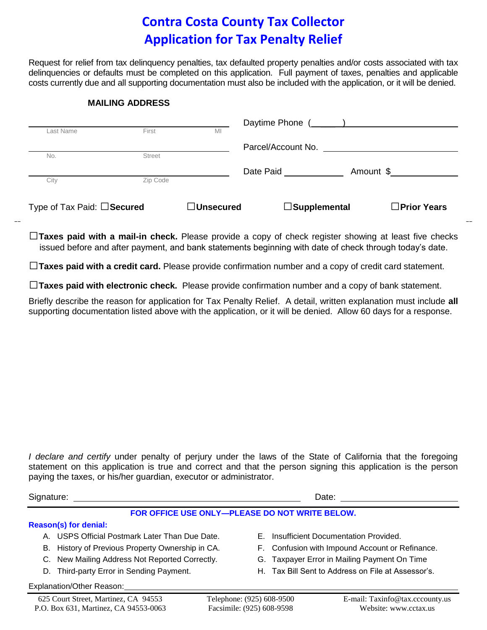## **Contra Costa County Tax Collector Application for Tax Penalty Relief**

Request for relief from tax delinquency penalties, tax defaulted property penalties and/or costs associated with tax delinquencies or defaults must be completed on this application. Full payment of taxes, penalties and applicable costs currently due and all supporting documentation must also be included with the application, or it will be denied.

### **MAILING ADDRESS**

| Last Name                  | First         | MI               | Daytime Phone ( ____ ) |                       |  |
|----------------------------|---------------|------------------|------------------------|-----------------------|--|
|                            |               |                  | Parcel/Account No.     |                       |  |
| No.                        | <b>Street</b> |                  |                        |                       |  |
|                            |               |                  | Date Paid              | Amount \$             |  |
| City                       | Zip Code      |                  |                        |                       |  |
| Type of Tax Paid: □Secured |               | $\Box$ Unsecured | $\Box$ Supplemental    | $\square$ Prior Years |  |

□**Taxes paid with a mail-in check.** Please provide a copy of check register showing at least five checks issued before and after payment, and bank statements beginning with date of check through today's date.

□**Taxes paid with a credit card.** Please provide confirmation number and a copy of credit card statement.

□**Taxes paid with electronic check.** Please provide confirmation number and a copy of bank statement.

Briefly describe the reason for application for Tax Penalty Relief. A detail, written explanation must include **all** supporting documentation listed above with the application, or it will be denied. Allow 60 days for a response.

*I declare and certify* under penalty of perjury under the laws of the State of California that the foregoing statement on this application is true and correct and that the person signing this application is the person paying the taxes, or his/her guardian, executor or administrator.

Signature: Date: Date: Date: Date: Date: Date: Date: Date: Date: Date: Date: Date: Date: Date: Date: Date: Date: Date: Date: Date: Date: Date: Date: Date: Date: Date: Date: Date: Date: Date: Date: Date: Date: Date: Date: D **FOR OFFICE USE ONLY—PLEASE DO NOT WRITE BELOW. Reason(s) for denial:** A. USPS Official Postmark Later Than Due Date. B. History of Previous Property Ownership in CA. C. New Mailing Address Not Reported Correctly. E. Insufficient Documentation Provided. F. Confusion with Impound Account or Refinance. G. Taxpayer Error in Mailing Payment On Time

H. Tax Bill Sent to Address on File at Assessor's.

Explanation/Other Reason:

D. Third-party Error in Sending Payment.